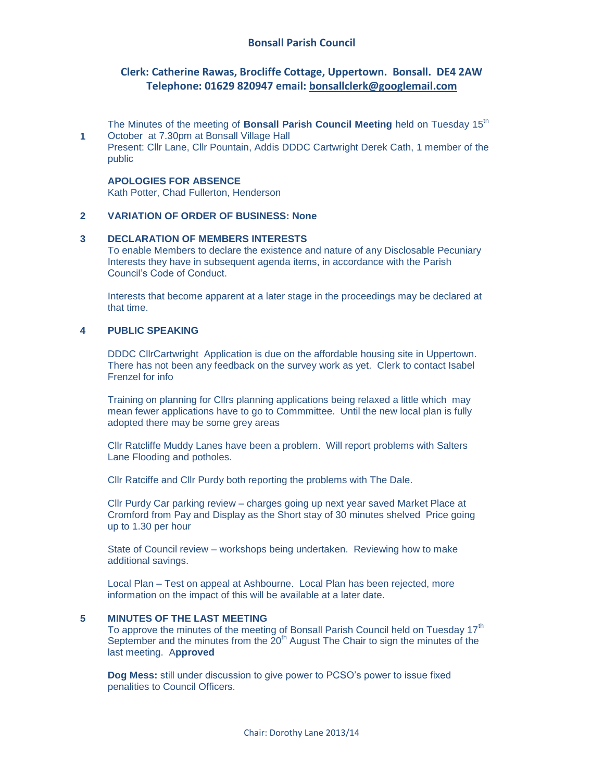## **Clerk: Catherine Rawas, Brocliffe Cottage, Uppertown. Bonsall. DE4 2AW Telephone: 01629 820947 email: [bonsallclerk@googlemail.com](mailto:bonsallclerk@googlemail.com)**

The Minutes of the meeting of **Bonsall Parish Council Meeting** held on Tuesday 15<sup>th</sup> October at 7.30pm at Bonsall Village Hall

Present: Cllr Lane, Cllr Pountain, Addis DDDC Cartwright Derek Cath, 1 member of the public

#### **APOLOGIES FOR ABSENCE**

Kath Potter, Chad Fullerton, Henderson

#### **2 VARIATION OF ORDER OF BUSINESS: None**

## **3 DECLARATION OF MEMBERS INTERESTS**

To enable Members to declare the existence and nature of any Disclosable Pecuniary Interests they have in subsequent agenda items, in accordance with the Parish Council's Code of Conduct.

Interests that become apparent at a later stage in the proceedings may be declared at that time.

## **4 PUBLIC SPEAKING**

**1**

DDDC CllrCartwright Application is due on the affordable housing site in Uppertown. There has not been any feedback on the survey work as yet. Clerk to contact Isabel Frenzel for info

Training on planning for Cllrs planning applications being relaxed a little which may mean fewer applications have to go to Commmittee. Until the new local plan is fully adopted there may be some grey areas

Cllr Ratcliffe Muddy Lanes have been a problem. Will report problems with Salters Lane Flooding and potholes.

Cllr Ratciffe and Cllr Purdy both reporting the problems with The Dale.

Cllr Purdy Car parking review – charges going up next year saved Market Place at Cromford from Pay and Display as the Short stay of 30 minutes shelved Price going up to 1.30 per hour

State of Council review – workshops being undertaken. Reviewing how to make additional savings.

Local Plan – Test on appeal at Ashbourne. Local Plan has been rejected, more information on the impact of this will be available at a later date.

#### **5 MINUTES OF THE LAST MEETING**

To approve the minutes of the meeting of Bonsall Parish Council held on Tuesday 17<sup>th</sup> September and the minutes from the  $20<sup>th</sup>$  August The Chair to sign the minutes of the last meeting. A**pproved**

**Dog Mess:** still under discussion to give power to PCSO's power to issue fixed penalities to Council Officers.